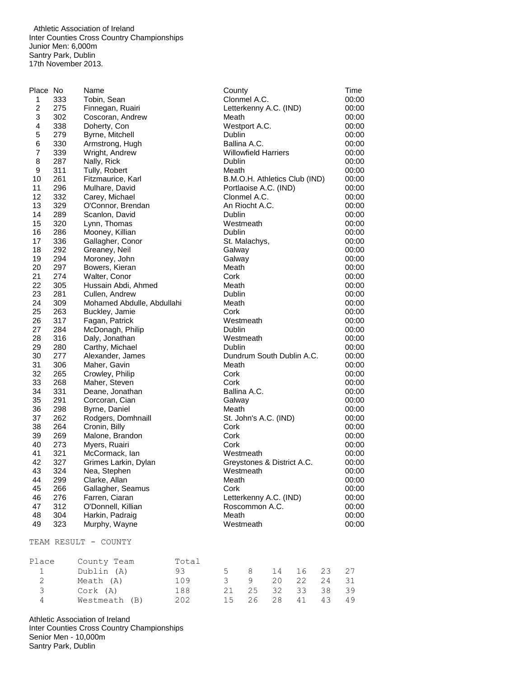Athletic Association of Ireland Inter Counties Cross Country Championships Junior Men: 6,000m Santry Park, Dublin 17th November 2013.

| Place No       |     | Name                       | County                        | Time  |
|----------------|-----|----------------------------|-------------------------------|-------|
| 1              | 333 | Tobin, Sean                | Clonmel A.C.                  | 00:00 |
| $\overline{c}$ | 275 | Finnegan, Ruairi           | Letterkenny A.C. (IND)        | 00:00 |
| 3              | 302 | Coscoran, Andrew           | Meath                         | 00:00 |
| 4              | 338 | Doherty, Con               | Westport A.C.                 | 00:00 |
| 5              | 279 | Byrne, Mitchell            | Dublin                        | 00:00 |
| 6              | 330 | Armstrong, Hugh            | Ballina A.C.                  | 00:00 |
| $\overline{7}$ | 339 | Wright, Andrew             | <b>Willowfield Harriers</b>   | 00:00 |
| 8              | 287 | Nally, Rick                | Dublin                        | 00:00 |
| 9              | 311 | Tully, Robert              | Meath                         | 00:00 |
| 10             | 261 | Fitzmaurice, Karl          | B.M.O.H. Athletics Club (IND) | 00:00 |
| 11             | 296 | Mulhare, David             | Portlaoise A.C. (IND)         | 00:00 |
| 12             | 332 | Carey, Michael             | Clonmel A.C.                  | 00:00 |
| 13             | 329 | O'Connor, Brendan          | An Riocht A.C.                | 00:00 |
| 14             | 289 | Scanlon, David             | Dublin                        | 00:00 |
| 15             | 320 |                            | Westmeath                     | 00:00 |
| 16             | 286 | Lynn, Thomas               | Dublin                        |       |
| 17             |     | Mooney, Killian            |                               | 00:00 |
|                | 336 | Gallagher, Conor           | St. Malachys,                 | 00:00 |
| 18             | 292 | Greaney, Neil              | Galway                        | 00:00 |
| 19             | 294 | Moroney, John              | Galway                        | 00:00 |
| 20             | 297 | Bowers, Kieran             | Meath                         | 00:00 |
| 21             | 274 | Walter, Conor              | Cork                          | 00:00 |
| 22             | 305 | Hussain Abdi, Ahmed        | Meath                         | 00:00 |
| 23             | 281 | Cullen, Andrew             | Dublin                        | 00:00 |
| 24             | 309 | Mohamed Abdulle, Abdullahi | Meath                         | 00:00 |
| 25             | 263 | Buckley, Jamie             | Cork                          | 00:00 |
| 26             | 317 | Fagan, Patrick             | Westmeath                     | 00:00 |
| 27             | 284 | McDonagh, Philip           | Dublin                        | 00:00 |
| 28             | 316 | Daly, Jonathan             | Westmeath                     | 00:00 |
| 29             | 280 | Carthy, Michael            | Dublin                        | 00:00 |
| 30             | 277 | Alexander, James           | Dundrum South Dublin A.C.     | 00:00 |
| 31             | 306 | Maher, Gavin               | Meath                         | 00:00 |
| 32             | 265 | Crowley, Philip            | Cork                          | 00:00 |
| 33             | 268 | Maher, Steven              | Cork                          | 00:00 |
| 34             | 331 | Deane, Jonathan            | Ballina A.C.                  | 00:00 |
| 35             | 291 | Corcoran, Cian             | Galway                        | 00:00 |
| 36             | 298 | Byrne, Daniel              | Meath                         | 00:00 |
| 37             | 262 | Rodgers, Domhnaill         | St. John's A.C. (IND)         | 00:00 |
| 38             | 264 | Cronin, Billy              | Cork                          | 00:00 |
| 39             | 269 | Malone, Brandon            | Cork                          | 00:00 |
| 40             | 273 | Myers, Ruairi              | Cork                          | 00:00 |
| 41             | 321 | McCormack, lan             | Westmeath                     | 00:00 |
| 42             | 327 | Grimes Larkin, Dylan       | Greystones & District A.C.    | 00:00 |
| 43             | 324 | Nea, Stephen               | Westmeath                     | 00:00 |
| 44             | 299 | Clarke, Allan              | Meath                         | 00:00 |
| 45             | 266 | Gallagher, Seamus          | Cork                          | 00:00 |
| 46             | 276 | Farren, Ciaran             | Letterkenny A.C. (IND)        | 00:00 |
| 47             | 312 | O'Donnell, Killian         | Roscommon A.C.                | 00:00 |
| 48             | 304 | Harkin, Padraig            | Meath                         | 00:00 |
| 49             | 323 | Murphy, Wayne              | Westmeath                     | 00:00 |
|                |     |                            |                               |       |
|                |     | TEAM RESULT - COUNTY       |                               |       |
| Place          |     | County Team                | Total                         |       |

|                         | Dublin (A)    | 93. | - 8 -          | 14 16 23 27    |    |      |
|-------------------------|---------------|-----|----------------|----------------|----|------|
|                         | Meath (A)     | 109 | $\overline{9}$ | 20 22 24 31    |    |      |
| $\overline{\mathbf{3}}$ | Cork (A)      | 188 |                | 21 25 32 33 38 |    | - 39 |
| 4                       | Westmeath (B) | 202 |                | 15 26 28 41    | 43 | 49   |

Athletic Association of Ireland Inter Counties Cross Country Championships Senior Men - 10,000m Santry Park, Dublin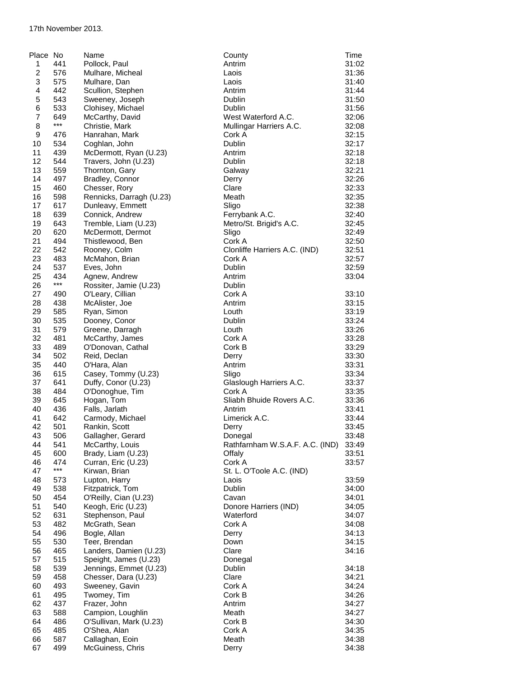| Place No       |              | Name                                    | County                          | Time           |
|----------------|--------------|-----------------------------------------|---------------------------------|----------------|
| 1              | 441          | Pollock, Paul                           | Antrim                          | 31:02          |
| $\overline{c}$ | 576          | Mulhare, Micheal                        | Laois                           | 31:36          |
| 3              | 575          | Mulhare, Dan                            | Laois                           | 31:40          |
| 4              | 442          | Scullion, Stephen                       | Antrim                          | 31:44          |
| 5              | 543          | Sweeney, Joseph                         | Dublin                          | 31:50          |
| 6              | 533          | Clohisey, Michael                       | <b>Dublin</b>                   | 31:56          |
| $\overline{7}$ | 649<br>$***$ | McCarthy, David                         | West Waterford A.C.             | 32:06          |
| 8              | 476          | Christie, Mark                          | Mullingar Harriers A.C.         | 32:08<br>32:15 |
| 9<br>10        | 534          | Hanrahan, Mark<br>Coghlan, John         | Cork A<br><b>Dublin</b>         | 32:17          |
| 11             | 439          | McDermott, Ryan (U.23)                  | Antrim                          | 32:18          |
| 12             | 544          | Travers, John (U.23)                    | Dublin                          | 32:18          |
| 13             | 559          | Thornton, Gary                          | Galway                          | 32:21          |
| 14             | 497          | Bradley, Connor                         | Derry                           | 32:26          |
| 15             | 460          | Chesser, Rory                           | Clare                           | 32:33          |
| 16             | 598          | Rennicks, Darragh (U.23)                | Meath                           | 32:35          |
| 17             | 617          | Dunleavy, Emmett                        | Sligo                           | 32:38          |
| 18             | 639          | Connick, Andrew                         | Ferrybank A.C.                  | 32:40          |
| 19             | 643          | Tremble, Liam (U.23)                    | Metro/St. Brigid's A.C.         | 32:45          |
| 20             | 620          | McDermott, Dermot                       | Sligo                           | 32:49          |
| 21             | 494          | Thistlewood, Ben                        | Cork A                          | 32:50          |
| 22             | 542          | Rooney, Colm                            | Clonliffe Harriers A.C. (IND)   | 32:51          |
| 23             | 483          | McMahon, Brian                          | Cork A                          | 32:57          |
| 24<br>25       | 537<br>434   | Eves, John                              | Dublin                          | 32:59          |
| 26             | $***$        | Agnew, Andrew<br>Rossiter, Jamie (U.23) | Antrim<br>Dublin                | 33:04          |
| 27             | 490          | O'Leary, Cillian                        | Cork A                          | 33:10          |
| 28             | 438          | McAlister, Joe                          | Antrim                          | 33:15          |
| 29             | 585          | Ryan, Simon                             | Louth                           | 33:19          |
| 30             | 535          | Dooney, Conor                           | Dublin                          | 33:24          |
| 31             | 579          | Greene, Darragh                         | Louth                           | 33:26          |
| 32             | 481          | McCarthy, James                         | Cork A                          | 33:28          |
| 33             | 489          | O'Donovan, Cathal                       | Cork B                          | 33:29          |
| 34             | 502          | Reid, Declan                            | Derry                           | 33:30          |
| 35             | 440          | O'Hara, Alan                            | Antrim                          | 33:31          |
| 36             | 615          | Casey, Tommy (U.23)                     | Sligo                           | 33:34          |
| 37             | 641          | Duffy, Conor (U.23)                     | Glaslough Harriers A.C.         | 33:37          |
| 38             | 484          | O'Donoghue, Tim                         | Cork A                          | 33:35          |
| 39             | 645          | Hogan, Tom                              | Sliabh Bhuide Rovers A.C.       | 33:36          |
| 40<br>41       | 436<br>642   | Falls, Jarlath                          | Antrim<br>Limerick A.C.         | 33:41<br>33:44 |
| 42             | 501          | Carmody, Michael<br>Rankin, Scott       | Derry                           | 33:45          |
| 43             | 506          | Gallagher, Gerard                       | Donegal                         | 33:48          |
| 44             | 541          | McCarthy, Louis                         | Rathfarnham W.S.A.F. A.C. (IND) | 33:49          |
| 45             | 600          | Brady, Liam (U.23)                      | Offaly                          | 33:51          |
| 46             | 474          | Curran, Eric (U.23)                     | Cork A                          | 33:57          |
| 47             | $***$        | Kirwan, Brian                           | St. L. O'Toole A.C. (IND)       |                |
| 48             | 573          | Lupton, Harry                           | Laois                           | 33:59          |
| 49             | 538          | Fitzpatrick, Tom                        | Dublin                          | 34:00          |
| 50             | 454          | O'Reilly, Cian (U.23)                   | Cavan                           | 34:01          |
| 51             | 540          | Keogh, Eric (U.23)                      | Donore Harriers (IND)           | 34:05          |
| 52             | 631          | Stephenson, Paul                        | Waterford                       | 34:07          |
| 53             | 482          | McGrath, Sean                           | Cork A                          | 34:08          |
| 54             | 496          | Bogle, Allan                            | Derry                           | 34:13          |
| 55<br>56       | 530<br>465   | Teer, Brendan<br>Landers, Damien (U.23) | Down<br>Clare                   | 34:15<br>34:16 |
| 57             | 515          | Speight, James (U.23)                   | Donegal                         |                |
| 58             | 539          | Jennings, Emmet (U.23)                  | Dublin                          | 34:18          |
| 59             | 458          | Chesser, Dara (U.23)                    | Clare                           | 34:21          |
| 60             | 493          | Sweeney, Gavin                          | Cork A                          | 34:24          |
| 61             | 495          | Twomey, Tim                             | Cork B                          | 34:26          |
| 62             | 437          | Frazer, John                            | Antrim                          | 34:27          |
| 63             | 588          | Campion, Loughlin                       | Meath                           | 34:27          |
| 64             | 486          | O'Sullivan, Mark (U.23)                 | Cork B                          | 34:30          |
| 65             | 485          | O'Shea, Alan                            | Cork A                          | 34:35          |
| 66             | 587          | Callaghan, Eoin                         | Meath                           | 34:38          |
| 67             | 499          | McGuiness, Chris                        | Derry                           | 34:38          |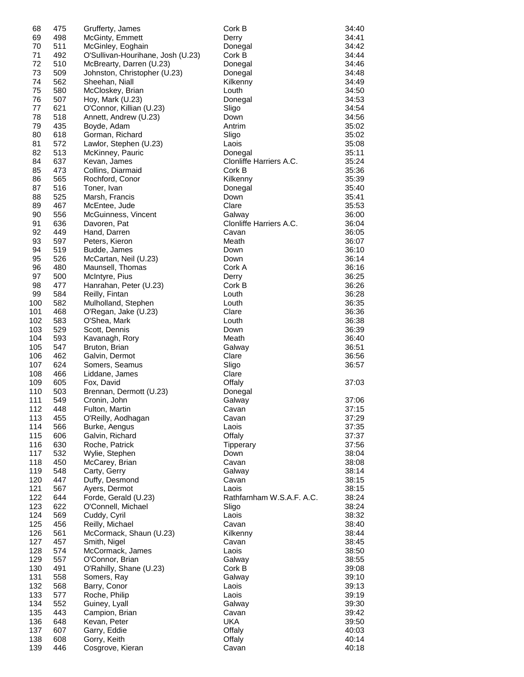| 68         | 475        | Grufferty, James                    | Cork B                    | 34:40          |
|------------|------------|-------------------------------------|---------------------------|----------------|
| 69         | 498        | McGinty, Emmett                     | Derry                     | 34:41          |
| 70         | 511        | McGinley, Eoghain                   | Donegal                   | 34:42          |
| 71         | 492        | O'Sullivan-Hourihane, Josh (U.23)   | Cork B                    | 34:44          |
| 72         | 510        | McBrearty, Darren (U.23)            | Donegal                   | 34:46          |
| 73         | 509        | Johnston, Christopher (U.23)        | Donegal                   | 34:48          |
| 74         | 562        | Sheehan, Niall                      | Kilkenny                  | 34:49          |
| 75         | 580        | McCloskey, Brian                    | Louth                     | 34:50          |
| 76         | 507        | Hoy, Mark (U.23)                    | Donegal                   | 34:53          |
| 77<br>78   | 621<br>518 | O'Connor, Killian (U.23)            | Sligo                     | 34:54          |
| 79         | 435        | Annett, Andrew (U.23)               | Down<br>Antrim            | 34:56<br>35:02 |
| 80         | 618        | Boyde, Adam<br>Gorman, Richard      | Sligo                     | 35:02          |
| 81         | 572        | Lawlor, Stephen (U.23)              | Laois                     | 35:08          |
| 82         | 513        | McKinney, Pauric                    | Donegal                   | 35:11          |
| 84         | 637        | Kevan, James                        | Clonliffe Harriers A.C.   | 35:24          |
| 85         | 473        | Collins, Diarmaid                   | Cork B                    | 35:36          |
| 86         | 565        | Rochford, Conor                     | Kilkenny                  | 35:39          |
| 87         | 516        | Toner, Ivan                         | Donegal                   | 35:40          |
| 88         | 525        | Marsh, Francis                      | Down                      | 35:41          |
| 89         | 467        | McEntee, Jude                       | Clare                     | 35:53          |
| 90         | 556        | McGuinness, Vincent                 | Galway                    | 36:00          |
| 91         | 636        | Davoren, Pat                        | Clonliffe Harriers A.C.   | 36:04          |
| 92         | 449        | Hand, Darren                        | Cavan                     | 36:05          |
| 93         | 597        | Peters, Kieron                      | Meath                     | 36:07          |
| 94         | 519        | Budde, James                        | Down                      | 36:10          |
| 95         | 526        | McCartan, Neil (U.23)               | Down                      | 36:14          |
| 96         | 480        | Maunsell, Thomas                    | Cork A                    | 36:16          |
| 97         | 500        | McIntyre, Pius                      | Derry                     | 36:25          |
| 98         | 477        | Hanrahan, Peter (U.23)              | Cork B                    | 36:26          |
| 99         | 584        | Reilly, Fintan                      | Louth                     | 36:28          |
| 100        | 582        | Mulholland, Stephen                 | Louth                     | 36:35          |
| 101        | 468        | O'Regan, Jake (U.23)                | Clare                     | 36:36          |
| 102        | 583        | O'Shea, Mark                        | Louth                     | 36:38          |
| 103        | 529        | Scott, Dennis                       | Down                      | 36:39          |
| 104<br>105 | 593<br>547 | Kavanagh, Rory<br>Bruton, Brian     | Meath                     | 36:40<br>36:51 |
| 106        | 462        | Galvin, Dermot                      | Galway<br>Clare           | 36:56          |
| 107        | 624        | Somers, Seamus                      | Sligo                     | 36:57          |
| 108        | 466        | Liddane, James                      | Clare                     |                |
| 109        | 605        | Fox, David                          | Offaly                    | 37:03          |
| 110        | 503        | Brennan, Dermott (U.23)             | Donegal                   |                |
| 111        | 549        | Cronin, John                        | Galway                    | 37:06          |
| 112        | 448        | Fulton, Martin                      | Cavan                     | 37:15          |
| 113        | 455        | O'Reilly, Aodhagan                  | Cavan                     | 37:29          |
| 114        | 566        | Burke, Aengus                       | Laois                     | 37:35          |
| 115        | 606        | Galvin, Richard                     | Offaly                    | 37:37          |
| 116        | 630        | Roche, Patrick                      | <b>Tipperary</b>          | 37:56          |
| 117        | 532        | Wylie, Stephen                      | Down                      | 38:04          |
| 118        | 450        | McCarey, Brian                      | Cavan                     | 38:08          |
| 119        | 548        | Carty, Gerry                        | Galway                    | 38:14          |
| 120        | 447        | Duffy, Desmond                      | Cavan                     | 38:15          |
| 121        | 567        | Ayers, Dermot                       | Laois                     | 38:15          |
| 122        | 644        | Forde, Gerald (U.23)                | Rathfarnham W.S.A.F. A.C. | 38:24          |
| 123        | 622        | O'Connell, Michael                  | Sligo                     | 38:24          |
| 124        | 569        | Cuddy, Cyril                        | Laois                     | 38:32          |
| 125        | 456        | Reilly, Michael                     | Cavan                     | 38:40          |
| 126        | 561        | McCormack, Shaun (U.23)             | Kilkenny                  | 38:44          |
| 127        | 457        | Smith, Nigel                        | Cavan                     | 38:45          |
| 128        | 574        | McCormack, James<br>O'Connor, Brian | Laois                     | 38:50          |
| 129<br>130 | 557<br>491 | O'Rahilly, Shane (U.23)             | Galway<br>Cork B          | 38:55<br>39:08 |
| 131        | 558        | Somers, Ray                         | Galway                    | 39:10          |
| 132        | 568        | Barry, Conor                        | Laois                     | 39:13          |
| 133        | 577        | Roche, Philip                       | Laois                     | 39:19          |
| 134        | 552        | Guiney, Lyall                       | Galway                    | 39:30          |
| 135        | 443        | Campion, Brian                      | Cavan                     | 39:42          |
| 136        | 648        | Kevan, Peter                        | UKA                       | 39:50          |
| 137        | 607        | Garry, Eddie                        | Offaly                    | 40:03          |
| 138        | 608        | Gorry, Keith                        | Offaly                    | 40:14          |
| 139        | 446        | Cosgrove, Kieran                    | Cavan                     | 40:18          |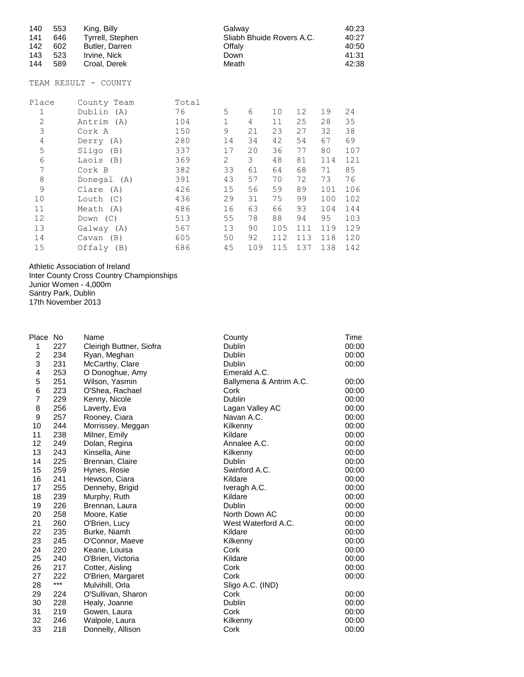| 140<br>553<br>141<br>646<br>142<br>602<br>143<br>523<br>144<br>589 | King, Billy<br>Tyrrell, Stephen<br>Butler, Darren<br>Irvine, Nick<br>Croal, Derek |       | Galway<br>Sliabh Bhuide Rovers A.C.<br>Offaly<br>Down<br>Meath |     |     |     |     | 40:23<br>40:27<br>40:50<br>41:31<br>42:38 |
|--------------------------------------------------------------------|-----------------------------------------------------------------------------------|-------|----------------------------------------------------------------|-----|-----|-----|-----|-------------------------------------------|
| TEAM RESULT -                                                      | COUNTY                                                                            |       |                                                                |     |     |     |     |                                           |
| Place                                                              | County Team                                                                       | Total |                                                                |     |     |     |     |                                           |
| 1                                                                  | Dublin (A)                                                                        | 76    | 5                                                              | 6   | 10  | 12  | 19  | 24                                        |
| $\overline{2}$                                                     | Antrim (A)                                                                        | 104   | 1                                                              | 4   | 11  | 25  | 28  | 35                                        |
| 3                                                                  | Cork A                                                                            | 150   | 9                                                              | 21  | 23  | 27  | 32  | 38                                        |
| $\sqrt{4}$                                                         | Derry (A)                                                                         | 280   | 14                                                             | 34  | 42  | 54  | 67  | 69                                        |
| 5                                                                  | Sligo<br>(B)                                                                      | 337   | 17                                                             | 20  | 36  | 77  | 80  | 107                                       |
| 6                                                                  | Laois<br>(B)                                                                      | 369   | 2                                                              | 3   | 48  | 81  | 114 | 121                                       |
| 7                                                                  | Cork B                                                                            | 382   | 33                                                             | 61  | 64  | 68  | 71  | 85                                        |
| 8                                                                  | Donegal (A)                                                                       | 391   | 43                                                             | 57  | 70  | 72  | 73  | 76                                        |
| 9                                                                  | Clare<br>(A)                                                                      | 426   | 15                                                             | 56  | 59  | 89  | 101 | 106                                       |
| 10                                                                 | Louth<br>(C)                                                                      | 436   | 29                                                             | 31  | 75  | 99  | 100 | 102                                       |
| 11                                                                 | Meath<br>(A)                                                                      | 486   | 16                                                             | 63  | 66  | 93  | 104 | 144                                       |
| 12                                                                 | Down $(C)$                                                                        | 513   | 55                                                             | 78  | 88  | 94  | 95  | 103                                       |
| 13                                                                 | Galway (A)                                                                        | 567   | 13                                                             | 90  | 105 | 111 | 119 | 129                                       |
| 14                                                                 | (B)<br>Cavan                                                                      | 605   | 50                                                             | 92  | 112 | 113 | 118 | 120                                       |
| 15                                                                 | Offaly<br>(B)                                                                     | 686   | 45                                                             | 109 | 115 | 137 | 138 | 142                                       |

Athletic Association of Ireland

Inter County Cross Country Championships Junior Women - 4,000m Santry Park, Dublin 17th November 2013

| Place No |       | Name                     | County                  | Time  |
|----------|-------|--------------------------|-------------------------|-------|
| 1        | 227   | Cleirigh Buttner, Siofra | Dublin                  | 00:00 |
| 2        | 234   | Ryan, Meghan             | Dublin                  | 00:00 |
| 3        | 231   | McCarthy, Clare          | Dublin                  | 00:00 |
| 4        | 253   | O Donoghue, Amy          | Emerald A.C.            |       |
| 5        | 251   | Wilson, Yasmin           | Ballymena & Antrim A.C. | 00:00 |
| 6        | 223   | O'Shea, Rachael          | Cork                    | 00:00 |
| 7        | 229   | Kenny, Nicole            | Dublin                  | 00:00 |
| 8        | 256   | Laverty, Eva             | Lagan Valley AC         | 00:00 |
| 9        | 257   | Rooney, Ciara            | Navan A.C.              | 00:00 |
| 10       | 244   | Morrissey, Meggan        | Kilkenny                | 00:00 |
| 11       | 238   | Milner, Emily            | Kildare                 | 00:00 |
| 12       | 249   | Dolan, Regina            | Annalee A.C.            | 00:00 |
| 13       | 243   | Kinsella, Aine           | Kilkenny                | 00:00 |
| 14       | 225   | Brennan, Claire          | Dublin                  | 00:00 |
| 15       | 259   | Hynes, Rosie             | Swinford A.C.           | 00:00 |
| 16       | 241   | Hewson, Ciara            | Kildare                 | 00:00 |
| 17       | 255   | Dennehy, Brigid          | Iveragh A.C.            | 00:00 |
| 18       | 239   | Murphy, Ruth             | Kildare                 | 00:00 |
| 19       | 226   | Brennan, Laura           | Dublin                  | 00:00 |
| 20       | 258   | Moore, Katie             | North Down AC           | 00:00 |
| 21       | 260   | O'Brien, Lucy            | West Waterford A.C.     | 00:00 |
| 22       | 235   | Burke, Niamh             | Kildare                 | 00:00 |
| 23       | 245   | O'Connor, Maeve          | Kilkenny                | 00:00 |
| 24       | 220   | Keane, Louisa            | Cork                    | 00:00 |
| 25       | 240   | O'Brien, Victoria        | Kildare                 | 00:00 |
| 26       | 217   | Cotter, Aisling          | Cork                    | 00:00 |
| 27       | 222   | O'Brien, Margaret        | Cork                    | 00:00 |
| 28       | $***$ | Mulvihill, Orla          | Sligo A.C. (IND)        |       |
| 29       | 224   | O'Sullivan, Sharon       | Cork                    | 00:00 |
| 30       | 228   | Healy, Joanne            | Dublin                  | 00:00 |
| 31       | 219   | Gowen, Laura             | Cork                    | 00:00 |
| 32       | 246   | Walpole, Laura           | Kilkenny                | 00:00 |
| 33       | 218   | Donnelly, Allison        | Cork                    | 00:00 |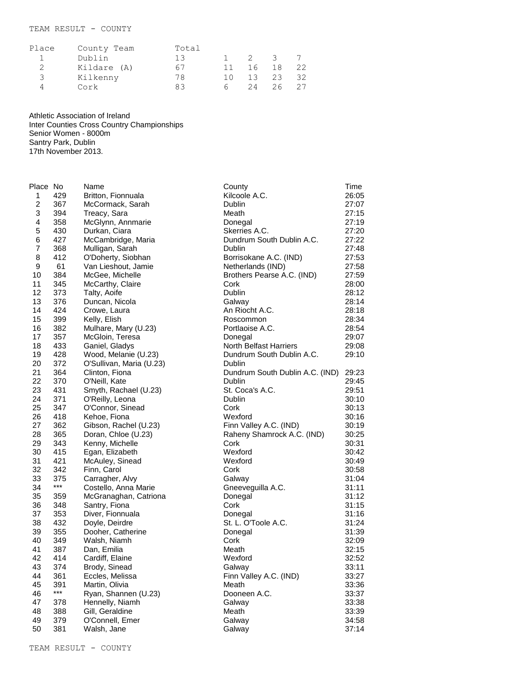## TEAM RESULT - COUNTY

| Place         | County Team | Total |     |    |               |    |
|---------------|-------------|-------|-----|----|---------------|----|
|               | Dublin      | 13    |     | 2  | $\mathcal{R}$ |    |
| $\mathcal{P}$ | Kildare (A) | 67    | 11  | 16 | 18            | 22 |
| 3             | Kilkenny    | 78    | 1 N | 13 | 23            | 32 |
|               | Cork        | 83    | 6.  | 24 | 26            |    |

Athletic Association of Ireland

Inter Counties Cross Country Championships Senior Women - 8000m Santry Park, Dublin 17th November 2013.

Place No Name County Time 429 Britton, Fionnuala Kilcoole A.C. 26:05 367 McCormack, Sarah Dublin 27:07 3 394 Treacy, Sara **Meath 1996** Meath 27:15<br>1 358 McGlynn, Annmarie **1996 Donegal** 27:19 4 358 McGlynn, Annmarie **Donegal 27:19**<br>5 430 Durkan Ciara **27:20** Skerries A.C. 27:20 430 Durkan, Ciara Skerries A.C. 27:20 427 McCambridge, Maria Dundrum South Dublin A.C. 27:22 368 Mulligan, Sarah Dublin 27:48 8 412 O'Doherty, Siobhan Borrisokane A.C. (IND) 27:53 61 Van Lieshout, Jamie Netherlands (IND) 27:58 384 McGee, Michelle Brothers Pearse A.C. (IND) 27:59 11 345 McCarthy, Claire Cork Cork 28:00 12 373 Talty, Aoife **Dublin** Dublin 28:12 376 Duncan, Nicola Galway 28:14 14 424 Crowe, Laura (1999) 19:40 An Riocht A.C. (1998) 28:18<br>15 399 Kelly. Elish (1998) 28:34 15 399 Kelly, Elish Roscommon 28:34<br>16 382 Mulhare, Mary (U.23) Portlaoise A.C. 28:54 382 Mulhare, Mary (U.23) Portlaoise A.C. 28:54 357 McGloin, Teresa Donegal 29:07 433 Ganiel, Gladys North Belfast Harriers 29:08 428 Wood, Melanie (U.23) Dundrum South Dublin A.C. 29:10 20 372 O'Sullivan, Maria (U.23) Dublin 364 Clinton, Fiona Dundrum South Dublin A.C. (IND) 29:23 22 370 O'Neill, Kate **Dublin** Dublin 29:45 431 Smyth, Rachael (U.23) St. Coca's A.C. 29:51 24 371 O'Reilly, Leona Dublin 20:10 347 O'Connor, Sinead Cork 30:13 418 Kehoe, Fiona Wexford 30:16 362 Gibson, Rachel (U.23) Finn Valley A.C. (IND) 30:19 365 Doran, Chloe (U.23) Raheny Shamrock A.C. (IND) 30:25 343 Kenny, Michelle Cork 30:31 415 Egan, Elizabeth Wexford 30:42 421 McAuley, Sinead Wexford 30:49 32 342 Finn, Carol Cork Cork 30:58<br>33 375 Carragher. Alvy Galway Galway 31:04 375 Carragher, Alvy Galway 31:04 \*\*\* Costello, Anna Marie Gneeveguilla A.C. 31:11 359 McGranaghan, Catriona Donegal 31:12 348 Santry, Fiona Cork 31:15 353 Diver, Fionnuala Donegal 31:16 432 Doyle, Deirdre St. L. O'Toole A.C. 31:24 355 Dooher, Catherine Donegal 31:39 349 Walsh, Niamh Cork 32:09 Dan, Emilia 414 Cardiff, Elaine Wexford 32:52 374 Brody, Sinead Galway 33:11 44 361 Eccles, Melissa Finn Valley A.C. (IND) 33:27 45 391 Martin, Olivia **Meath** 33:36<br>46 <sup>\*\*\*</sup> Bisp Shanner (11.33) **Meath** Deepsen A.C. 33:36 \*\*\* Ryan, Shannen (U.23) Dooneen A.C. 33:37 378 Hennelly, Niamh Galway 33:38 48 388 Gill, Geraldine **Meath** 33:39 379 O'Connell, Emer Galway 34:58 381 Walsh, Jane Galway 37:14